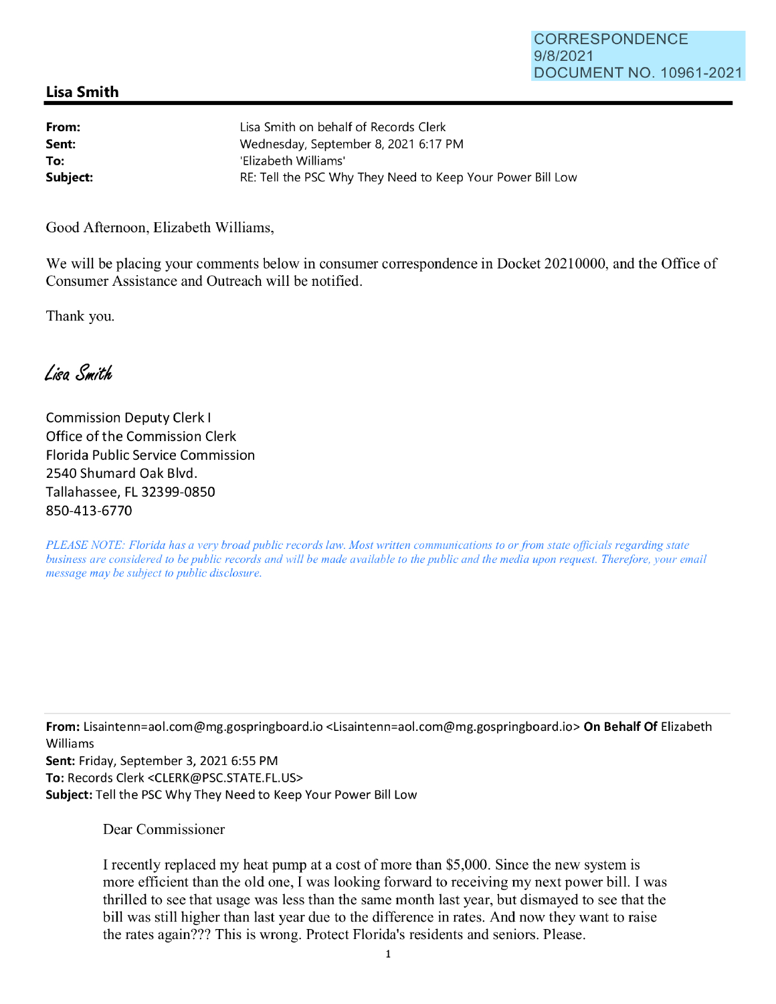## **Lisa Smith**

| From:    | Lisa Smith on behalf of Records Clerk                      |
|----------|------------------------------------------------------------|
| Sent:    | Wednesday, September 8, 2021 6:17 PM                       |
| To:      | 'Elizabeth Williams'                                       |
| Subject: | RE: Tell the PSC Why They Need to Keep Your Power Bill Low |

Good Afternoon, Elizabeth Williams,

We will be placing your comments below in consumer correspondence in Docket 20210000, and the Office of Consumer Assistance and Outreach will be notified.

Thank you.

Lisa Smith

Commission Deputy Clerk I Office of the Commission Clerk Florida Public Service Commission 2540 Shumard Oak Blvd. Tallahassee, FL 32399-0850 850-413-6770

*PLEASE NOTE: Florida has a very broad public records law. Most written communications to or from state officials regarding state business are considered to be public records and will be made available to the public and the media upon request. Therefore, your email message may be subject to public disclosure.* 

**From:** Lisaintenn=aol.com@mg.gospringboard.io <Lisaintenn=aol.com@mg.gospringboard.io> **On Behalf Of** Elizabeth Williams

**Sent:** Friday, September 3, 2021 6:55 PM **To:** Records Clerk <CLERK@PSC.STATE.FL.US> **Subject:** Tell the PSC Why They Need to Keep Your Power Bill Low

Dear Commissioner

I recently replaced my heat pump at a cost of more than \$5,000. Since the new system is more efficient than the old one, I was looking forward to receiving my next power bill. I was thrilled to see that usage was less than the same month last year, but dismayed to see that the bill was still higher than last year due to the difference in rates. And now they want to raise the rates again??? This is wrong. Protect Florida's residents and seniors. Please.